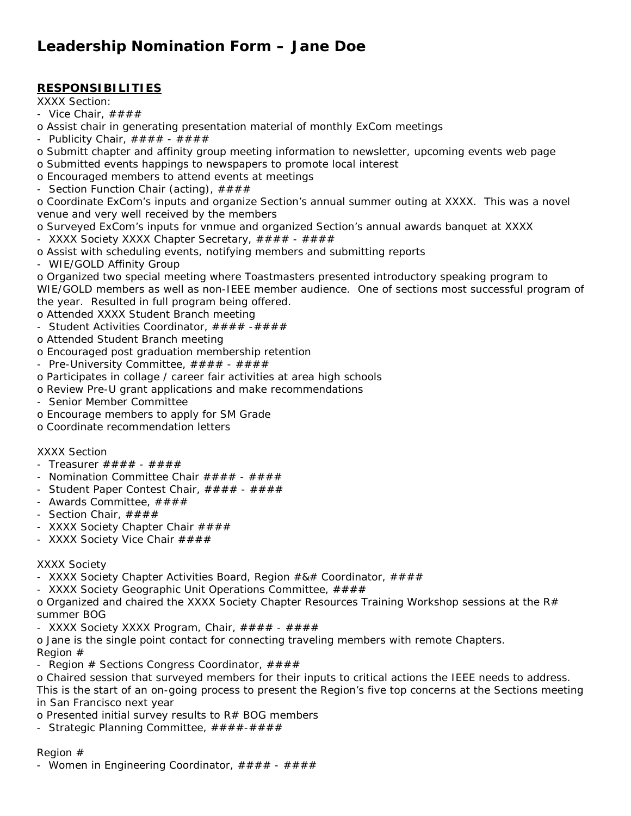# **Leadership Nomination Form – Jane Doe**

# **RESPONSIBILITIES**

XXXX Section:

- Vice Chair,  $\# \# \# \#$
- o Assist chair in generating presentation material of monthly ExCom meetings
- Publicity Chair,  $\# \# \# \#$   $\# \# \# \#$
- o Submitt chapter and affinity group meeting information to newsletter, upcoming events web page
- o Submitted events happings to newspapers to promote local interest
- o Encouraged members to attend events at meetings
- Section Function Chair (acting),  $\# \# \# \#$

o Coordinate ExCom's inputs and organize Section's annual summer outing at XXXX. This was a novel venue and very well received by the members

- o Surveyed ExCom's inputs for vnmue and organized Section's annual awards banquet at XXXX
- XXXX Society XXXX Chapter Secretary,  $\# \# \# \# + \# \# \#$
- o Assist with scheduling events, notifying members and submitting reports
- WIE/GOLD Affinity Group

o Organized two special meeting where Toastmasters presented introductory speaking program to WIE/GOLD members as well as non-IEEE member audience. One of sections most successful program of the year. Resulted in full program being offered.

o Attended XXXX Student Branch meeting

- Student Activities Coordinator, #### -####
- o Attended Student Branch meeting
- o Encouraged post graduation membership retention
- Pre-University Committee,  $\# \# \# \# + \# \# \#$
- o Participates in collage / career fair activities at area high schools
- o Review Pre-U grant applications and make recommendations
- Senior Member Committee
- o Encourage members to apply for SM Grade
- o Coordinate recommendation letters

# XXXX Section

- Treasurer  $# # # # # # # #$
- Nomination Committee Chair  $\# \# \# \# + \# \# \#$
- Student Paper Contest Chair,  $\# \# \# \# + \# \# \#$
- Awards Committee,  $\# \# \# \#$
- Section Chair, ####
- XXXX Society Chapter Chair  $\# \# \#$
- XXXX Society Vice Chair  $\# \# \#$

# XXXX Society

- XXXX Society Chapter Activities Board, Region #&# Coordinator, ####
- XXXX Society Geographic Unit Operations Committee,  $\# \# \# \#$

o Organized and chaired the XXXX Society Chapter Resources Training Workshop sessions at the R# summer BOG

- XXXX Society XXXX Program, Chair, #### ####
- o Jane is the single point contact for connecting traveling members with remote Chapters. Region #
- Region  $#$  Sections Congress Coordinator,  $####$

o Chaired session that surveyed members for their inputs to critical actions the IEEE needs to address. This is the start of an on-going process to present the Region's five top concerns at the Sections meeting in San Francisco next year

- o Presented initial survey results to R# BOG members
- Strategic Planning Committee,  $\# \# \# \# \# \# \#$

# Region #

- Women in Engineering Coordinator,  $\# \# \# \# + \# \# \#$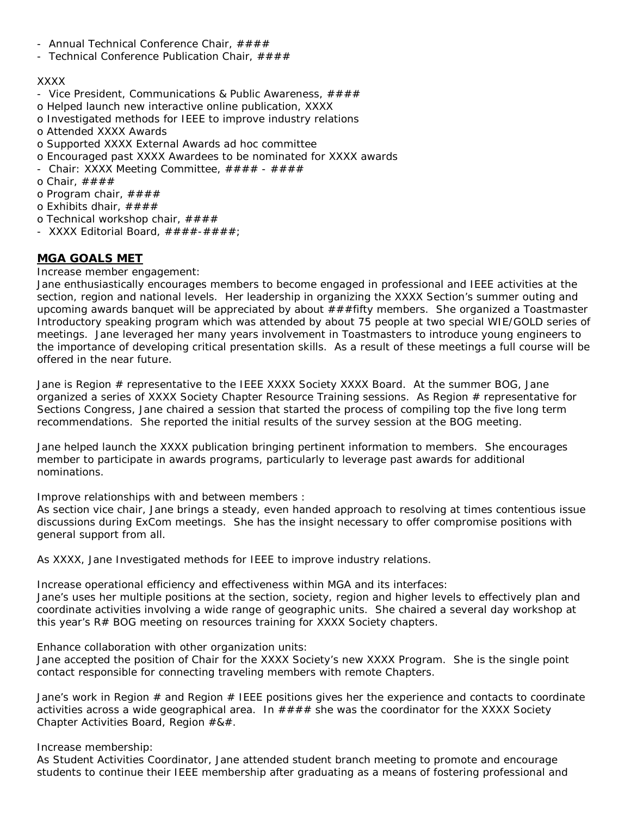- Annual Technical Conference Chair,  $\# \# \#$
- Technical Conference Publication Chair,  $\# \# \# \#$

# XXXX

- Vice President, Communications & Public Awareness,  $\# \# \# \#$
- o Helped launch new interactive online publication, XXXX
- o Investigated methods for IEEE to improve industry relations
- o Attended XXXX Awards
- o Supported XXXX External Awards ad hoc committee
- o Encouraged past XXXX Awardees to be nominated for XXXX awards
- Chair: XXXX Meeting Committee,  $\# \# \# \# + \# \# \#$
- o Chair,  $\# \# \# \#$
- o Program chair,  $\# \# \#$
- o Exhibits dhair,  $\# \# \# \#$
- o Technical workshop chair,  $\# \# \#$
- XXXX Editorial Board,  $\# \# \# \# \# \# \# \#$ ;

# **MGA GOALS MET**

Increase member engagement:

Jane enthusiastically encourages members to become engaged in professional and IEEE activities at the section, region and national levels. Her leadership in organizing the XXXX Section's summer outing and upcoming awards banquet will be appreciated by about  $\# \# f$  if ty members. She organized a Toastmaster Introductory speaking program which was attended by about 75 people at two special WIE/GOLD series of meetings. Jane leveraged her many years involvement in Toastmasters to introduce young engineers to the importance of developing critical presentation skills. As a result of these meetings a full course will be offered in the near future.

Jane is Region # representative to the IEEE XXXX Society XXXX Board. At the summer BOG, Jane organized a series of XXXX Society Chapter Resource Training sessions. As Region # representative for Sections Congress, Jane chaired a session that started the process of compiling top the five long term recommendations. She reported the initial results of the survey session at the BOG meeting.

Jane helped launch the XXXX publication bringing pertinent information to members. She encourages member to participate in awards programs, particularly to leverage past awards for additional nominations.

Improve relationships with and between members :

As section vice chair, Jane brings a steady, even handed approach to resolving at times contentious issue discussions during ExCom meetings. She has the insight necessary to offer compromise positions with general support from all.

As XXXX, Jane Investigated methods for IEEE to improve industry relations.

Increase operational efficiency and effectiveness within MGA and its interfaces: Jane's uses her multiple positions at the section, society, region and higher levels to effectively plan and coordinate activities involving a wide range of geographic units. She chaired a several day workshop at this year's R# BOG meeting on resources training for XXXX Society chapters.

Enhance collaboration with other organization units:

Jane accepted the position of Chair for the XXXX Society's new XXXX Program. She is the single point contact responsible for connecting traveling members with remote Chapters.

Jane's work in Region # and Region # IEEE positions gives her the experience and contacts to coordinate activities across a wide geographical area. In  $\# \# \#$  she was the coordinator for the XXXX Society Chapter Activities Board, Region #&#.

Increase membership:

As Student Activities Coordinator, Jane attended student branch meeting to promote and encourage students to continue their IEEE membership after graduating as a means of fostering professional and